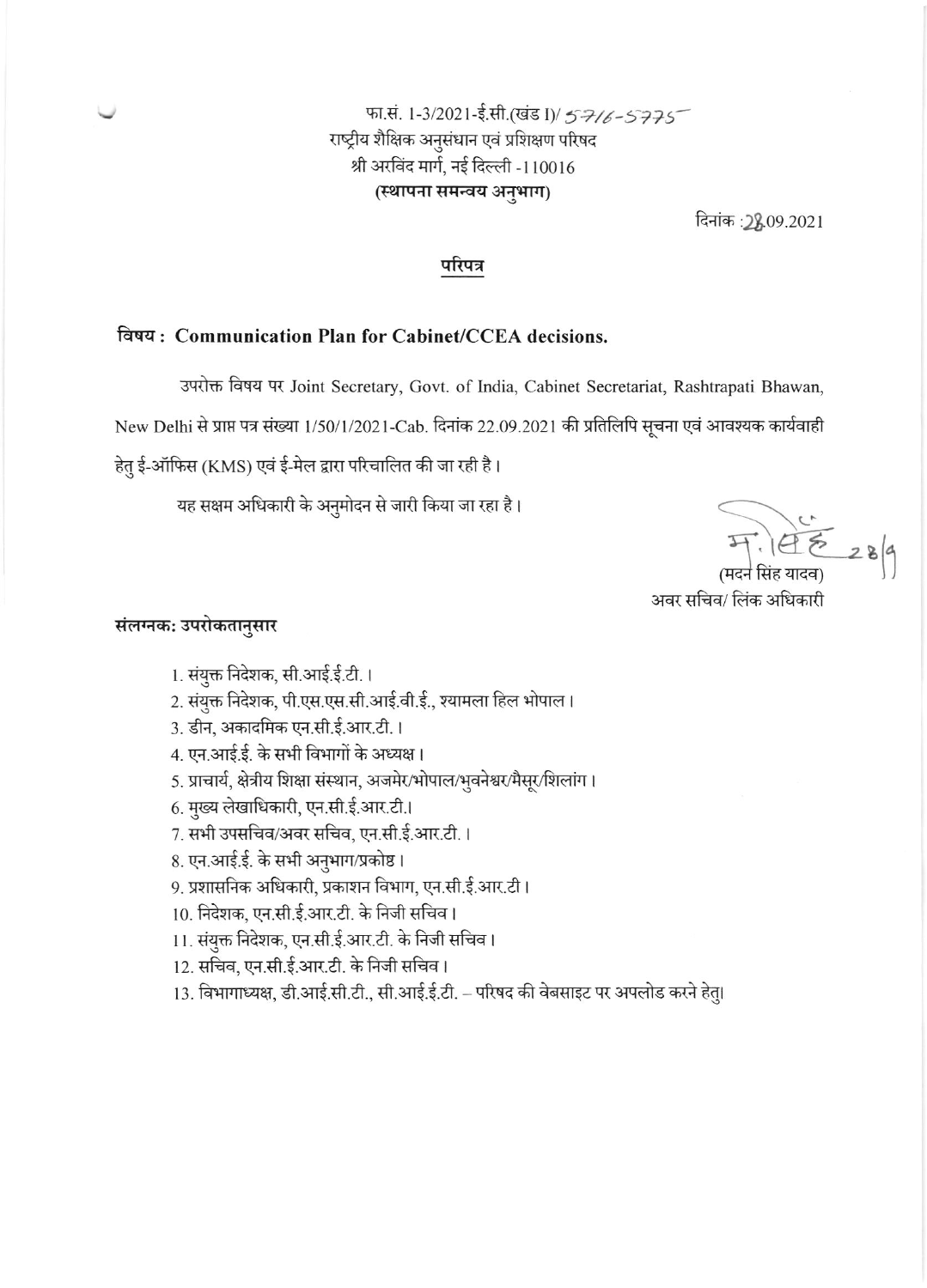# फा.सं. 1-3/2021-ई.सी.(खंड I)/ 57/6-5775 राष्ट्रीय शैक्षिक अनुसंधान एवं प्रशिक्षण परिषद श्री अरविंद मार्ग, नई दिल्ली -110016 (स्थापना समन्वय अनुभाग)

दिनांक :28,09.2021

## परिपत्र

## विषय: Communication Plan for Cabinet/CCEA decisions.

उपरोक्त विषय पर Joint Secretary, Govt. of India, Cabinet Secretariat, Rashtrapati Bhawan,

New Delhi से प्राप्त पत्र संख्या 1/50/1/2021-Cab. दिनांक 22.09.2021 की प्रतिलिपि सूचना एवं आवश्यक कार्यवाही

हेतु ई-ऑफिस (KMS) एवं ई-मेल द्वारा परिचालित की जा रही है।

यह सक्षम अधिकारी के अनुमोदन से जारी किया जा रहा है।

 $47.195289$ (मदन सिंह यादव)

अवर सचिव/ लिंक अधिकारी

#### संलग्नक: उपरोकतानुसार

- 1. संयुक्त निदेशक, सी.आई.ई.टी. ।
- 2. संयुक्त निदेशक, पी.एस.एस.सी.आई.वी.ई., श्यामला हिल भोपाल।
- 3. डीन, अकादमिक एन.सी.ई.आर.टी.।
- 4. एन.आई.ई. के सभी विभागों के अध्यक्ष।
- 5. प्राचार्य, क्षेत्रीय शिक्षा संस्थान, अजमेर/भोपाल/भुवनेश्वर/मैसूर/शिलांग।
- 6. मुख्य लेखाधिकारी, एन.सी.ई.आर.टी.।
- 7. सभी उपसचिव/अवर सचिव, एन.सी.ई.आर.टी. ।
- 8. एन.आई.ई. के सभी अनुभाग/प्रकोष्ठ।
- 9. प्रशासनिक अधिकारी, प्रकाशन विभाग, एन.सी.ई.आर.टी।
- 10. निदेशक, एन.सी.ई.आर.टी. के निजी सचिव।
- 11. संयुक्त निदेशक, एन.सी.ई.आर.टी. के निजी सचिव।
- 12. सचिव, एन.सी.ई.आर.टी. के निजी सचिव।
- 13. विभागाध्यक्ष, डी.आई.सी.टी., सी.आई.ई.टी. परिषद की वेबसाइट पर अपलोड करने हेतु।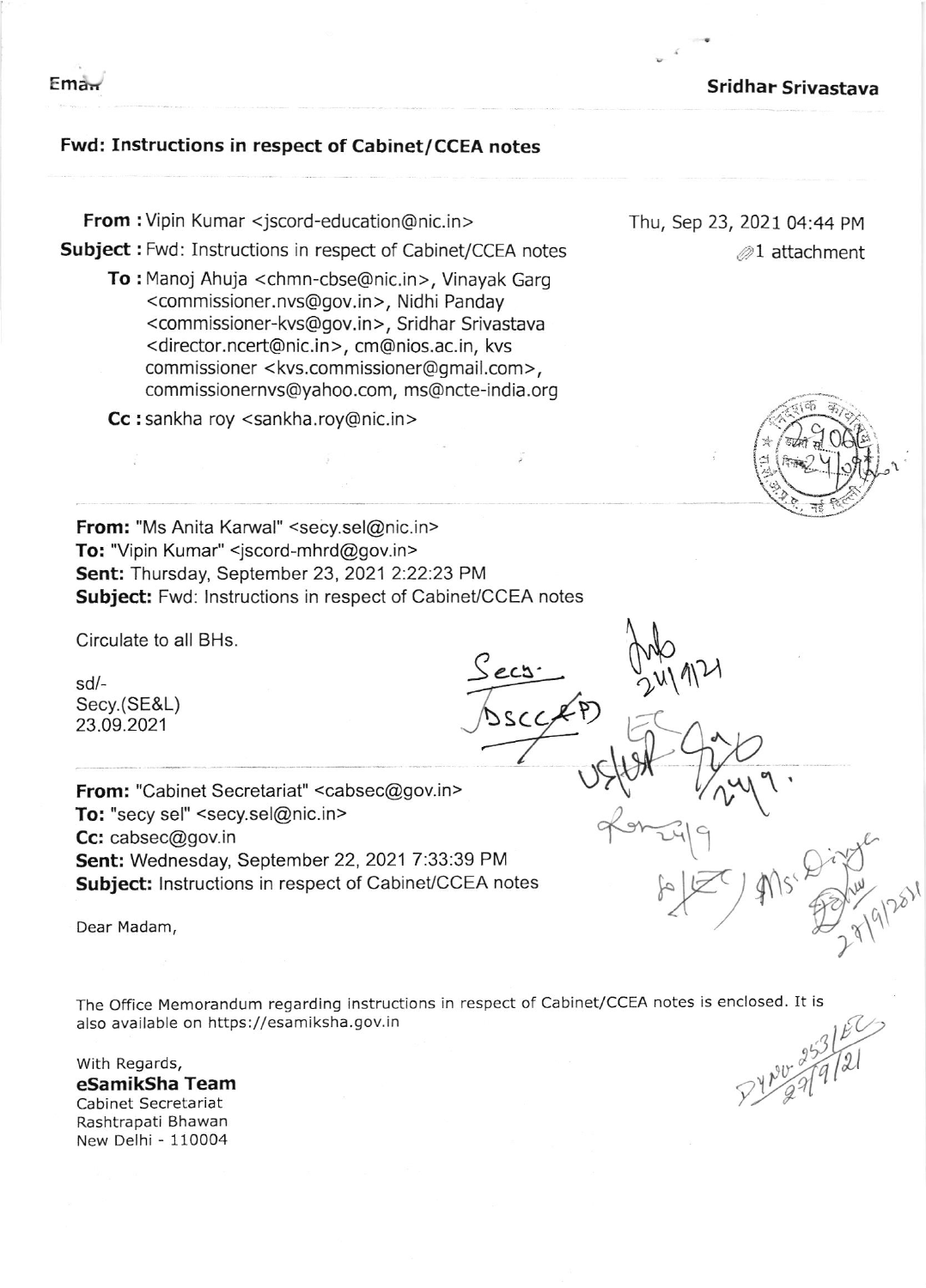$Em<sub>ar</sub>$ 

## Sridhar Srivastava

## Fwd: Instructions in respect of Cabinet/CCEA notes

From : Vipin Kumar <jscord-education@nic.in > Subject : Fwd: Instructions in respect of Cabinet/CCEA notes

To : Manoj Ahuja <chmn-cbse@nic.in>, Vinayak Garg <sup>&</sup>lt;com missioner. nvs@gov. in >, Nidhi Panday <commissioner-kvs@gov.in>, Sridhar Srivastava <director.ncert@nic.in>, cm@nios.ac.in, kvs commissioner <kvs.commissioner@gmail.com >, commissionernvs@yahoo.com, ms@ncte-india.org

Cc : sankha roy < sankha.roy@nic.in >

Thu, Sep 23, 2021 04:44 PM  $\mathcal{D}1$  attachment

M

h,h

 $\partial x$ 

 $\tilde{\iota}$ 

 $\sqrt$ 

 $\mathbb{F}$ 



From: "Ms Anita Karwal" <secy.sel@nic.in> To: "Vipin Kumar" <jscord-mhrd@gov.in> Sent: Thursday, September 23, 2021 2:22:23 PM Subject: Fwd: Instructions in respect of Cabinet/CCEA notes

Circulate to all BHs.

sd/- Secy.(SE&L) 23.09.2021

From: "Cabinet Secretariat" <cabsec@gov.in> To: "secy sel" <secy.sel@nic.in> Cc: cabsec@gov.in Sent: Wednesday, September 22, 2021 7:33:39 PM Subject: Instructions in respect of Cabinet/CCEA notes

 $\mathcal{L}$  and  $\mathcal{L}$  and  $\mathcal{L}$  and  $\mathcal{L}$  and  $\mathcal{L}$  and  $\mathcal{L}$  and  $\mathcal{L}$  and  $\mathcal{L}$  and  $\mathcal{L}$  and  $\mathcal{L}$  and  $\mathcal{L}$  and  $\mathcal{L}$  and  $\mathcal{L}$  and  $\mathcal{L}$  and  $\mathcal{L}$  and  $\mathcal{L}$  and  $\mathcal{L}$  and

The OFfice Memorandum regarding instructions in respect of Cabinet/CCEA notes is enclosed. It is also available on https://esamiksha. gov. in

Secs

SCCAP)

With Regards, eSamikSha Team Cabinet Secretariat Rashtrapati Bhawan New Delhi - 110004

4 1  $\hat{g}$ L

 $411$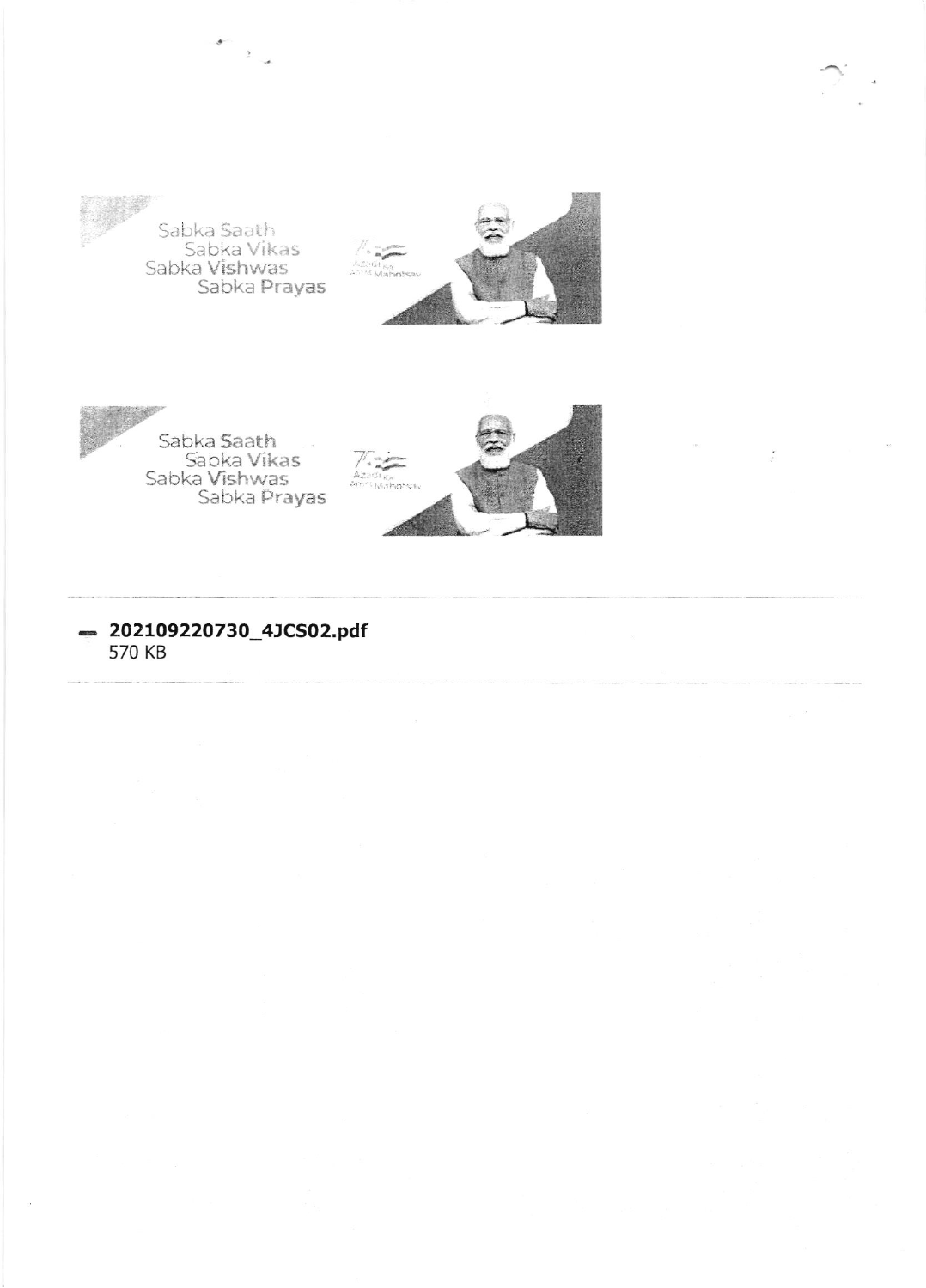

Sabka Saath<br>Sabka Vikas<br>Sabka **Vishwa**s<br>Sabka **Prayas** 

 $\frac{1}{2}$ 





Sabka Saath<br>Sabka Vikas<br>Sabka Vishwas<br>Sabka Prayas



202109220730\_4JCS02.pdf 570 KB